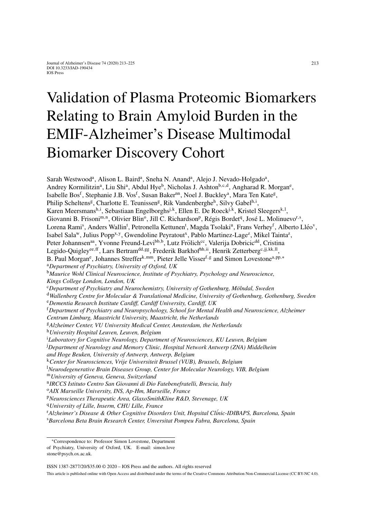# Validation of Plasma Proteomic Biomarkers Relating to Brain Amyloid Burden in the EMIF-Alzheimer's Disease Multimodal Biomarker Discovery Cohort

Sarah Westwood<sup>a</sup>, Alison L. Baird<sup>a</sup>, Sneha N. Anand<sup>a</sup>, Alejo J. Nevado-Holgado<sup>a</sup>, Andrey Kormilitzin<sup>a</sup>, Liu Shi<sup>a</sup>, Abdul Hye<sup>b</sup>, Nicholas J. Ashton<sup>b,c,d</sup>, Angharad R. Morgan<sup>e</sup>, Isabelle Bos<sup>f</sup>, Stephanie J.B. Vos<sup>f</sup>, Susan Baker<sup>nn</sup>, Noel J. Buckley<sup>a</sup>, Mara Ten Kate<sup>g</sup>, Philip Scheltens<sup>g</sup>, Charlotte E. Teunissen<sup>g</sup>, Rik Vandenberghe<sup>h</sup>, Silvy Gabel<sup>h,i</sup>, Karen Meersmans<sup>h,i</sup>, Sebastiaan Engelborghs<sup>j,k</sup>, Ellen E. De Roeck<sup>j,k</sup>, Kristel Sleegers<sup>k, 1</sup>, Giovanni B. Frisoni<sup>m,n</sup>, Olivier Blin<sup>o</sup>, Jill C. Richardson<sup>p</sup>, Régis Bordet<sup>q</sup>, José L. Molinuevo<sup>r,s</sup>, Lorena Rami<sup>s</sup>, Anders Wallin<sup>t</sup>, Petronella Kettunen<sup>t</sup>, Magda Tsolaki<sup>u</sup>, Frans Verhey<sup>f</sup>, Alberto Lléo<sup>v</sup>, Isabel Sala<sup>w</sup>, Julius Popp<sup>x,y</sup>, Gwendoline Peyratout<sup>x</sup>, Pablo Martinez-Lage<sup>z</sup>, Mikel Tainta<sup>z</sup>, Peter Johannsen<sup>aa</sup>, Yvonne Freund-Levi<sup>bb,b</sup>, Lutz Frölich<sup>cc</sup>, Valerija Dobricic<sup>dd</sup>, Cristina Legido-Quigleyee*,*ff, Lars Bertramdd*,*gg, Frederik Barkhofhh*,*ii, Henrik Zetterbergc*,*jj*,*kk*,*ll, B. Paul Morgan<sup>e</sup>, Johannes Streffer<sup>k,mm</sup>, Pieter Jelle Visser<sup>f,g</sup> and Simon Lovestone<sup>a,pp,\*</sup> <sup>a</sup>*Department of Psychiatry, University of Oxford, UK* <sup>b</sup>*Maurice Wohl Clinical Neuroscience, Institute of Psychiatry, Psychology and Neuroscience, Kings College London, London, UK* <sup>c</sup> Department of Psychiatry and Neurochemistry, University of Gothenburg, Mölndal, Sweden <sup>d</sup>*Wallenberg Centre for Molecular & Translational Medicine, University of Gothenburg, Gothenburg, Sweden* <sup>e</sup>*Dementia Research Institute Cardiff, Cardiff University, Cardiff, UK* <sup>f</sup>*Department of Psychiatry and Neuropsychology, School for Mental Health and Neuroscience, Alzheimer Centrum Limburg, Maastricht University, Maastricht, the Netherlands* <sup>g</sup>*Alzheimer Center, VU University Medical Center, Amsterdam, the Netherlands* <sup>h</sup>*University Hospital Leuven, Leuven, Belgium* i *Laboratory for Cognitive Neurology, Department of Neurosciences, KU Leuven, Belgium* j *Department of Neurology and Memory Clinic, Hospital Network Antwerp (ZNA) Middelheim and Hoge Beuken, University of Antwerp, Antwerp, Belgium* <sup>k</sup>*Center for Neurosciences, Vrije Universiteit Brussel (VUB), Brussels, Belgium* l *Neurodegenerative Brain Diseases Group, Center for Molecular Neurology, VIB, Belgium* <sup>m</sup>*University of Geneva, Geneva, Switzerland* <sup>n</sup>*IRCCS Istituto Centro San Giovanni di Dio Fatebenefratelli, Brescia, Italy* <sup>o</sup>*AIX Marseille University, INS, Ap-Hm, Marseille, France* <sup>p</sup>*Neurosciences Therapeutic Area, GlaxoSmithKline R&D, Stevenage, UK* <sup>q</sup>*University of Lille, Inserm, CHU Lille, France* r *Alzheimer's Disease & Other Cognitive Disorders Unit, Hopsital Cl´inic-IDIBAPS, Barcelona, Spain* s *Barcelona Beta Brain Research Center, Unversitat Pompeu Fabra, Barcelona, Spain*

ISSN 1387-2877/20/\$35.00 © 2020 – IOS Press and the authors. All rights reserved

This article is published online with Open Access and distributed under the terms of the Creative Commons Attribution Non-Commercial License (CC BY-NC 4.0).

<sup>∗</sup>Correspondence to: Professor Simon Lovestone, Department of Psychiatry, University of Oxford, UK. E-mail: simon.love stone@psych.ox.ac.uk.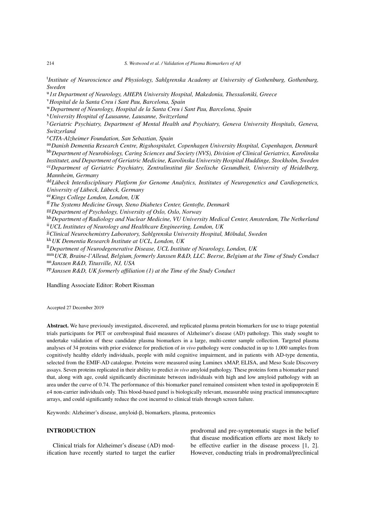t *Institute of Neuroscience and Physiology, Sahlgrenska Academy at University of Gothenburg, Gothenburg, Sweden*

<sup>u</sup>*1st Department of Neurology, AHEPA University Hospital, Makedonia, Thessaloniki, Greece*

<sup>v</sup>*Hospital de la Santa Creu i Sant Pau, Barcelona, Spain*

<sup>w</sup>*Department of Neurology, Hospital de la Santa Creu i Sant Pau, Barcelona, Spain*

<sup>x</sup>*University Hospital of Lausanne, Lausanne, Switzerland*

<sup>y</sup>*Geriatric Psychiatry, Department of Mental Health and Psychiatry, Geneva University Hospitals, Geneva, Switzerland*

<sup>z</sup>*CITA-Alzheimer Foundation, San Sebastian, Spain*

aa*Danish Dementia Research Centre, Rigshospitalet, Copenhagen University Hospital, Copenhagen, Denmark* bb*Department of Neurobiology, Caring Sciences and Society (NVS), Division of Clinical Geriatrics, Karolinska Institutet, and Department of Geriatric Medicine, Karolinska University Hospital Huddinge, Stockholm, Sweden* <sup>cc</sup>Department of Geriatric Psychiatry, Zentralinstitut für Seelische Gesundheit, University of Heidelberg, *Mannheim, Germany*

<sup>dd</sup> Lübeck Interdisciplinary Platform for Genome Analytics, Institutes of Neurogenetics and Cardiogenetics, *University of Lübeck, Lübeck, Germany* 

ee*Kings College London, London, UK*

ff*The Systems Medicine Group, Steno Diabetes Center, Gentofte, Denmark*

gg*Department of Psychology, University of Oslo, Oslo, Norway*

hh*Department of Radiology and Nuclear Medicine, VU University Medical Center, Amsterdam, The Netherland* ii*UCL Institutes of Neurology and Healthcare Engineering, London, UK*

<sup>jj</sup>Clinical Neurochemistry Laboratory, Sahlgrenska University Hospital, Mölndal, Sweden

kk*UK Dementia Research Institute at UCL, London, UK*

ll*Department of Neurodegenerative Disease, UCL Institute of Neurology, London, UK*

mm*UCB, Braine-l'Alleud, Belgium, formerly Janssen R&D, LLC. Beerse, Belgium at the Time of Study Conduct* nn*Janssen R&D, Titusville, NJ, USA*

pp*Janssen R&D, UK formerly affiliation (1) at the Time of the Study Conduct*

Handling Associate Editor: Robert Rissman

Accepted 27 December 2019

**Abstract.** We have previously investigated, discovered, and replicated plasma protein biomarkers for use to triage potential trials participants for PET or cerebrospinal fluid measures of Alzheimer's disease (AD) pathology. This study sought to undertake validation of these candidate plasma biomarkers in a large, multi-center sample collection. Targeted plasma analyses of 34 proteins with prior evidence for prediction of *in vivo* pathology were conducted in up to 1,000 samples from cognitively healthy elderly individuals, people with mild cognitive impairment, and in patients with AD-type dementia, selected from the EMIF-AD catalogue. Proteins were measured using Luminex xMAP, ELISA, and Meso Scale Discovery assays. Seven proteins replicated in their ability to predict *in vivo* amyloid pathology. These proteins form a biomarker panel that, along with age, could significantly discriminate between individuals with high and low amyloid pathology with an area under the curve of 0.74. The performance of this biomarker panel remained consistent when tested in apolipoprotein E !4 non-carrier individuals only. This blood-based panel is biologically relevant, measurable using practical immunocapture arrays, and could significantly reduce the cost incurred to clinical trials through screen failure.

Keywords: Alzheimer's disease, amyloid- $\beta$ , biomarkers, plasma, proteomics

# **INTRODUCTION**

Clinical trials for Alzheimer's disease (AD) modification have recently started to target the earlier prodromal and pre-symptomatic stages in the belief that disease modification efforts are most likely to be effective earlier in the disease process [1, 2]. However, conducting trials in prodromal/preclinical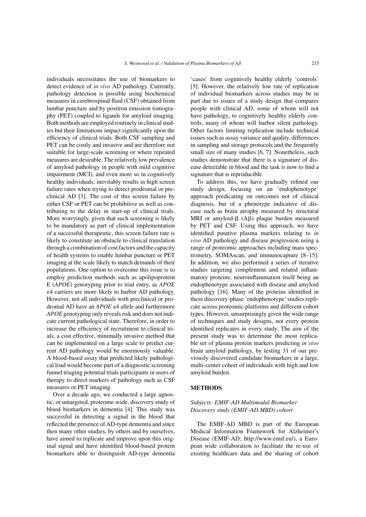individuals necessitates the use of biomarkers to detect evidence of *in vivo* AD pathology. Currently, pathology detection is possible using biochemical measures in cerebrospinal fluid (CSF) obtained from lumbar puncture and by positron emission tomography (PET) coupled to ligands for amyloid imaging. Both methods are employed routinely in clinical studies but their limitations impact significantly upon the efficiency of clinical trials. Both CSF sampling and PET can be costly and invasive and are therefore not suitable for large-scale screening or where repeated measures are desirable. The relatively low prevalence of amyloid pathology in people with mild cognitive impairment (MCI), and even more so in cognitively healthy individuals, inevitably results in high screen failure rates when trying to detect prodromal or preclinical AD [3]. The cost of this screen failure by either CSF or PET can be prohibitive as well as contributing to the delay in start-up of clinical trials. More worryingly, given that such screening is likely to be mandatory as part of clinical implementation of a successful therapeutic, this screen failure rate is likely to constitute an obstacle to clinical translation through a combination of cost factors and the capacity of health systems to enable lumbar puncture or PET imaging at the scale likely to match demands of their populations. One option to overcome this issue is to employ prediction methods such as apolipoprotein E (*APOE*) genotyping prior to trial entry, as *APOE*  $\varepsilon$ 4 carriers are more likely to harbor AD pathology. However, not all individuals with preclinical or prodromal AD have an *APOE*  $\varepsilon$ 4 allele and furthermore *APOE* genotyping only reveals risk and does not indicate current pathological state. Therefore, in order to increase the efficiency of recruitment to clinical trials, a cost effective, minimally invasive method that can be implemented on a large scale to predict current AD pathology would be enormously valuable. A blood-based assay that predicted likely pathological load would become part of a diagnostic screening funnel triaging potential trials participants or users of therapy to direct markers of pathology such as CSF measures or PET imaging.

Over a decade ago, we conducted a large agnostic, or untargeted, proteome-wide, discovery study of blood biomarkers in dementia [4]. This study was successful in detecting a signal in the blood that reflected the presence of AD-type dementia and since then many other studies, by others and by ourselves, have aimed to replicate and improve upon this original signal and have identified blood-based protein biomarkers able to distinguish AD-type dementia

'cases' from cognitively healthy elderly 'controls' [5]. However, the relatively low rate of replication of individual biomarkers across studies may be in part due to issues of a study design that compares people with clinical AD, some of whom will not have pathology, to cognitively healthy elderly controls, many of whom will harbor silent pathology. Other factors limiting replication include technical issues such as assay variance and quality, differences in sampling and storage protocols and the frequently small size of many studies [6, 7]. Nonetheless, such studies demonstrate that there is a signature of disease detectable in blood and the task is now to find a signature that is reproducible.

To address this, we have gradually refined our study design, focusing on an 'endophenotype' approach predicating on outcomes not of clinical diagnosis, but of a phenotype indicative of disease such as brain atrophy measured by structural MRI or amyloid- $\beta$  (A $\beta$ ) plaque burden measured by PET and CSF. Using this approach, we have identified putative plasma markers relating to *in vivo* AD pathology and disease progression using a range of proteomic approaches including mass spectrometry, SOMAscan, and immunocapture [8–15]. In addition, we also performed a series of iterative studies targeting complement and related inflammatory proteins; neuroinflammation itself being an endophenotype associated with disease and amyloid pathology [16]. Many of the proteins identified in these discovery-phase 'endophenotype' studies replicate across proteomic platforms and different cohort types. However, unsurprisingly given the wide range of techniques and study designs, not every protein identified replicates in every study. The aim of the present study was to determine the most replicable set of plasma protein markers predicting *in vivo* brain amyloid pathology, by testing 31 of our previously discovered candidate biomarkers in a large, multi-center cohort of individuals with high and low amyloid burden.

# **METHODS**

## *Subjects: EMIF-AD Multimodal Biomarker Discovery study (EMIF-AD MBD) cohort*

The EMIF-AD MBD is part of the European Medical Information Framework for Alzheimer's Disease (EMIF-AD; http://www.emif.eu/), a European wide collaboration to facilitate the re-use of existing healthcare data and the sharing of cohort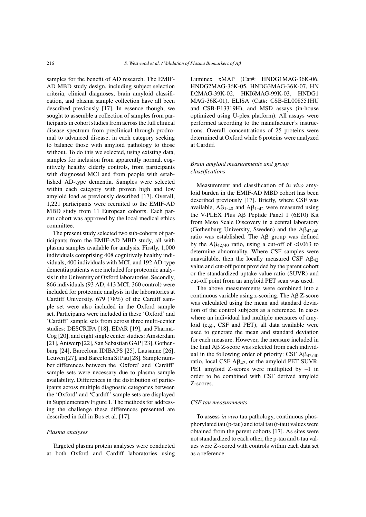samples for the benefit of AD research. The EMIF-AD MBD study design, including subject selection criteria, clinical diagnoses, brain amyloid classification, and plasma sample collection have all been described previously [17]. In essence though, we sought to assemble a collection of samples from participants in cohort studies from across the full clinical disease spectrum from preclinical through prodromal to advanced disease, in each category seeking to balance those with amyloid pathology to those without. To do this we selected, using existing data, samples for inclusion from apparently normal, cognitively healthy elderly controls, from participants with diagnosed MCI and from people with established AD-type dementia. Samples were selected within each category with proven high and low amyloid load as previously described [17]. Overall, 1,221 participants were recruited to the EMIF-AD MBD study from 11 European cohorts. Each parent cohort was approved by the local medical ethics committee.

The present study selected two sub-cohorts of participants from the EMIF-AD MBD study, all with plasma samples available for analysis. Firstly, 1,000 individuals comprising 408 cognitively healthy individuals, 400 individuals with MCI, and 192 AD-type dementia patients were included for proteomic analysis in the University of Oxford laboratories. Secondly, 866 individuals (93 AD, 413 MCI, 360 control) were included for proteomic analysis in the laboratories at Cardiff University. 679 (78%) of the Cardiff sample set were also included in the Oxford sample set. Participants were included in these 'Oxford' and 'Cardiff' sample sets from across three multi-center studies: DESCRIPA [18], EDAR [19], and Pharma-Cog [20], and eight single center studies: Amsterdam [21], Antwerp [22], San Sebastian GAP [23], Gothenburg [24], Barcelona IDIBAPS [25], Lausanne [26], Leuven [27], and Barcelona St Pau [28]. Sample number differences between the 'Oxford' and 'Cardiff' sample sets were necessary due to plasma sample availability. Differences in the distribution of participants across multiple diagnostic categories between the 'Oxford' and 'Cardiff' sample sets are displayed in Supplementary Figure 1. The methods for addressing the challenge these differences presented are described in full in Bos et al. [17].

#### *Plasma analyses*

Targeted plasma protein analyses were conducted at both Oxford and Cardiff laboratories using Luminex xMAP (Cat#: HNDG1MAG-36K-06, HNDG2MAG-36K-05, HNDG3MAG-36K-07, HN D2MAG-39K-02, HKI6MAG-99K-03, HNDG1 MAG-36K-01), ELISA (Cat#: CSB-EL008551HU and CSB-E13319H), and MSD assays (in-house optimized using U-plex platform). All assays were performed according to the manufacturer's instructions. Overall, concentrations of 25 proteins were determined at Oxford while 6 proteins were analyzed at Cardiff.

## *Brain amyloid measurements and group classifications*

Measurement and classification of *in vivo* amyloid burden in the EMIF-AD MBD cohort has been described previously [17]. Briefly, where CSF was available,  $A\beta_{1-40}$  and  $A\beta_{1-42}$  were measured using the V-PLEX Plus  $\overrightarrow{AB}$  Peptide Panel 1 (6E10) Kit from Meso Scale Discovery in a central laboratory (Gothenburg University, Sweden) and the  $\text{A}\beta_{42/40}$ ratio was established. The  $\overrightarrow{AB}$  group was defined by the  $\text{A}\beta_{42/40}$  ratio, using a cut-off of <0.063 to determine abnormality. Where CSF samples were unavailable, then the locally measured CSF  $AB_{42}$ value and cut-off point provided by the parent cohort or the standardized uptake value ratio (SUVR) and cut-off point from an amyloid PET scan was used.

The above measurements were combined into a continuous variable using z-scoring. The  $\overline{AB}$  Z-score was calculated using the mean and standard deviation of the control subjects as a reference. In cases where an individual had multiple measures of amyloid (e.g., CSF and PET), all data available were used to generate the mean and standard deviation for each measure. However, the measure included in the final  $\overrightarrow{AB}$  Z-score was selected from each individual in the following order of priority: CSF  $\text{A}\beta_{42/40}$ ratio, local CSF  $\mathbf{A}\beta_{42}$ , or the amyloid PET SUVR. PET amyloid Z-scores were multiplied by –1 in order to be combined with CSF derived amyloid Z-scores.

#### *CSF tau measurements*

To assess *in vivo* tau pathology, continuous phosphorylated tau (p-tau) and total tau (t-tau) values were obtained from the parent cohorts [17]. As sites were not standardized to each other, the p-tau and t-tau values were Z-scored with controls within each data set as a reference.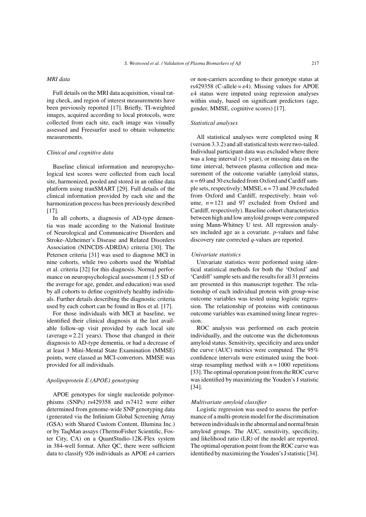#### *MRI data*

Full details on the MRI data acquisition, visual rating check, and region of interest measurements have been previously reported [17]. Briefly, TI-weighted images, acquired according to local protocols, were collected from each site, each image was visually assessed and Freesurfer used to obtain volumetric measurements.

#### *Clinical and cognitive data*

Baseline clinical information and neuropsychological test scores were collected from each local site, harmonized, pooled and stored in an online data platform using tranSMART [29]. Full details of the clinical information provided by each site and the harmonization process has been previously described [17].

In all cohorts, a diagnosis of AD-type dementia was made according to the National Institute of Neurological and Communicative Disorders and Stroke-Alzheimer's Disease and Related Disorders Association (NINCDS-ADRDA) criteria [30]. The Petersen criteria [31] was used to diagnose MCI in nine cohorts, while two cohorts used the Winblad et al. criteria [32] for this diagnosis. Normal performance on neuropsychological assessment (1.5 SD of the average for age, gender, and education) was used by all cohorts to define cognitively healthy individuals. Further details describing the diagnostic criteria used by each cohort can be found in Bos et al. [17].

For those individuals with MCI at baseline, we identified their clinical diagnosis at the last available follow-up visit provided by each local site (average = 2.21 years). Those that changed in their diagnosis to AD-type dementia, or had a decrease of at least 3 Mini-Mental State Examination (MMSE) points, were classed as MCI-convertors. MMSE was provided for all individuals.

## *Apolipoprotein E (APOE) genotyping*

APOE genotypes for single nucleotide polymorphisms (SNPs) rs429358 and rs7412 were either determined from genome-wide SNP genotyping data (generated via the Infinium Global Screening Array (GSA) with Shared Custom Content, Illumina Inc.) or by TaqMan assays (ThermoFisher Scientific, Foster City, CA) on a QuantStudio-12K-Flex system in 384-well format. After QC, there were sufficient data to classify 926 individuals as APOE  $\varepsilon$ 4 carriers or non-carriers according to their genotype status at rs429358 (C-allele =  $\varepsilon$ 4). Missing values for APOE  $\varepsilon$ 4 status were imputed using regression analyses within study, based on significant predictors (age, gender, MMSE, cognitive scores) [17].

#### *Statistical analyses*

All statistical analyses were completed using R (version 3.3.2) and all statistical tests were two-tailed. Individual participant data was excluded where there was a long interval (>1 year), or missing data on the time interval, between plasma collection and measurement of the outcome variable (amyloid status,  $n = 69$  and 30 excluded from Oxford and Cardiff sample sets, respectively; MMSE, *n* = 73 and 39 excluded from Oxford and Cardiff, respectively; brain volume,  $n = 121$  and 97 excluded from Oxford and Cardiff, respectively). Baseline cohort characteristics between high and low amyloid groups were compared using Mann-Whitney U test. All regression analyses included age as a covariate. *p*-values and false discovery rate corrected *q*-values are reported.

#### *Univariate statistics*

Univariate statistics were performed using identical statistical methods for both the 'Oxford' and 'Cardiff' sample sets and the results for all 31 proteins are presented in this manuscript together. The relationship of each individual protein with group-wise outcome variables was tested using logistic regression. The relationship of proteins with continuous outcome variables was examined using linear regression.

ROC analysis was performed on each protein individually, and the outcome was the dichotomous amyloid status. Sensitivity, specificity and area under the curve (AUC) metrics were computed. The 95% confidence intervals were estimated using the bootstrap resampling method with  $n = 1000$  repetitions [33]. The optimal operation point from the ROC curve was identified by maximizing the Youden's J statistic [34].

#### *Multivariate amyloid classifier*

Logistic regression was used to assess the performance of a multi-protein model for the discrimination between individuals in the abnormal and normal brain amyloid groups. The AUC, sensitivity, specificity, and likelihood ratio (LR) of the model are reported. The optimal operation point from the ROC curve was identified by maximizing the Youden's J statistic [34].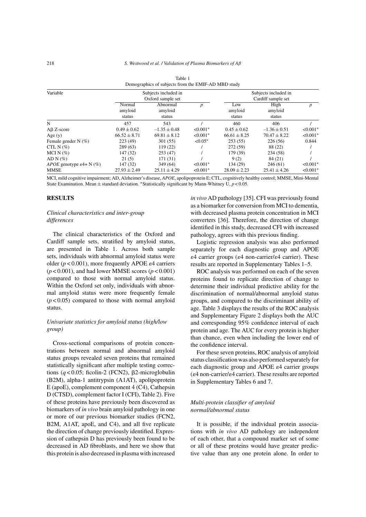| Variable                                    |                             | Subjects included in<br>Oxford sample set |            |                          | Subjects included in<br>Cardiff sample set |            |
|---------------------------------------------|-----------------------------|-------------------------------------------|------------|--------------------------|--------------------------------------------|------------|
|                                             | Normal<br>amyloid<br>status | Abnormal<br>amyloid<br>status             | p          | Low<br>amyloid<br>status | High<br>amyloid<br>status                  | p          |
| N                                           | 457                         | 543                                       |            | 460                      | 406                                        |            |
| $A\beta$ Z-score                            | $0.49 \pm 0.62$             | $-1.35 \pm 0.48$                          | $< 0.001*$ | $0.45 \pm 0.62$          | $-1.36 \pm 0.51$                           | $< 0.001*$ |
| Age $(y)$                                   | $66.52 \pm 8.71$            | $69.81 \pm 8.12$                          | $< 0.001*$ | $66.61 \pm 8.25$         | $70.47 \pm 8.22$                           | $< 0.001*$ |
| Female gender $N(\%)$                       | 223 (49)                    | 301(55)                                   | $< 0.05^*$ | 253(55)                  | 226(56)                                    | 0.844      |
| CTL N $(\% )$                               | 289 (63)                    | 119(22)                                   |            | 272 (59)                 | 88 (22)                                    |            |
| MCI N $(\%)$                                | 147 (32)                    | 253(47)                                   |            | 179 (39)                 | 234 (58)                                   |            |
| AD N $(\%)$                                 | 21(5)                       | 171 (31)                                  |            | 9(2)                     | 84 (21)                                    |            |
| <i>APOE</i> genotype $\varepsilon$ 4+ N (%) | 147 (32)                    | 349(64)                                   | $< 0.001*$ | 134 (29)                 | 246(61)                                    | $< 0.001*$ |
| <b>MMSE</b>                                 | $27.93 \pm 2.49$            | $25.11 \pm 4.29$                          | $< 0.001*$ | $28.09 \pm 2.23$         | $25.41 \pm 4.26$                           | $< 0.001*$ |

#### Table 1 Demographics of subjects from the EMIF-AD MBD study

MCI, mild cognitive impairment; AD, Alzheimer's disease, *APOE*, apolipoprotein E; CTL, cognitively healthy control; MMSE, Mini-Mental State Examination. Mean ± standard deviation. <sup>∗</sup>Statistically significant by Mann-Whitney U, *p* < 0.05.

# **RESULTS**

# *Clinical characteristics and inter-group differences*

The clinical characteristics of the Oxford and Cardiff sample sets, stratified by amyloid status, are presented in Table 1. Across both sample sets, individuals with abnormal amyloid status were older ( $p < 0.001$ ), more frequently APOE  $\varepsilon$ 4 carriers (*p* < 0.001), and had lower MMSE scores (*p* < 0.001) compared to those with normal amyloid status. Within the Oxford set only, individuals with abnormal amyloid status were more frequently female  $(p<0.05)$  compared to those with normal amyloid status.

# *Univariate statistics for amyloid status (high/low group)*

Cross-sectional comparisons of protein concentrations between normal and abnormal amyloid status groups revealed seven proteins that remained statistically significant after multiple testing corrections  $(q<0.05$ ; ficolin-2 (FCN2),  $\beta$ 2-microglobulin (B2M), alpha-1 antitrypsin (A1AT), apolipoprotein E (apoE), complement component 4 (C4), Cathepsin D (CTSD), complement factor I (CFI), Table 2). Five of these proteins have previously been discovered as biomarkers of *in vivo* brain amyloid pathology in one or more of our previous biomarker studies (FCN2, B2M, A1AT, apoE, and C4), and all five replicate the direction of change previously identified. Expression of cathepsin D has previously been found to be decreased in AD fibroblasts, and here we show that this protein is also decreased in plasma with increased *in vivo* AD pathology [35]. CFI was previously found as a biomarker for conversion from MCI to dementia, with decreased plasma protein concentration in MCI converters [36]. Therefore, the direction of change identified in this study, decreased CFI with increased pathology, agrees with this previous finding.

Logistic regression analysis was also performed separately for each diagnostic group and APOE  $\varepsilon$ 4 carrier groups ( $\varepsilon$ 4 non-carrier/ $\varepsilon$ 4 carrier). These results are reported in Supplementary Tables 1–5.

ROC analysis was performed on each of the seven proteins found to replicate direction of change to determine their individual predictive ability for the discrimination of normal/abnormal amyloid status groups, and compared to the discriminant ability of age. Table 3 displays the results of the ROC analysis and Supplementary Figure 2 displays both the AUC and corresponding 95% confidence interval of each protein and age. The AUC for every protein is higher than chance, even when including the lower end of the confidence interval.

For these seven proteins, ROC analysis of amyloid status classification was also performed separately for each diagnostic group and APOE  $\varepsilon$ 4 carrier groups  $(\varepsilon 4$  non-carrier/ $\varepsilon 4$  carrier). These results are reported in Supplementary Tables 6 and 7.

## *Multi-protein classifier of amyloid normal/abnormal status*

It is possible, if the individual protein associations with *in vivo* AD pathology are independent of each other, that a compound marker set of some or all of these proteins would have greater predictive value than any one protein alone. In order to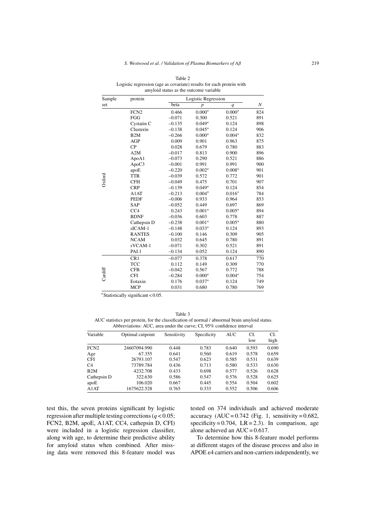| Sample  | protein          |          | Logistic Regression |          |     |
|---------|------------------|----------|---------------------|----------|-----|
| set     |                  | beta     | $\boldsymbol{p}$    | q        | Ν   |
|         | FCN <sub>2</sub> | 0.466    | $0.000*$            | $0.000*$ | 824 |
|         | FGG              | $-0.071$ | 0.300               | 0.521    | 891 |
|         | Cystatin C       | $-0.135$ | $0.049*$            | 0.124    | 898 |
|         | Clusterin        | $-0.138$ | $0.045*$            | 0.124    | 906 |
|         | B <sub>2</sub> M | $-0.266$ | $0.000*$            | $0.004*$ | 832 |
|         | <b>AGP</b>       | 0.009    | 0.901               | 0.963    | 875 |
|         | CP               | 0.028    | 0.679               | 0.780    | 883 |
|         | A2M              | $-0.017$ | 0.813               | 0.900    | 896 |
|         | ApoA1            | $-0.073$ | 0.290               | 0.521    | 886 |
|         | ApoC3            | $-0.001$ | 0.991               | 0.991    | 900 |
|         | apoE             | $-0.220$ | $0.002*$            | $0.008*$ | 901 |
| Oxford  | <b>TTR</b>       | $-0.039$ | 0.572               | 0.772    | 901 |
|         | <b>CFH</b>       | $-0.049$ | 0.475               | 0.701    | 907 |
|         | <b>CRP</b>       | $-0.139$ | $0.049*$            | 0.124    | 854 |
|         | A1AT             | $-0.213$ | $0.004*$            | $0.016*$ | 784 |
|         | <b>PEDF</b>      | $-0.006$ | 0.933               | 0.964    | 853 |
|         | <b>SAP</b>       | $-0.052$ | 0.449               | 0.697    | 869 |
|         | CC4              | 0.243    | $0.001*$            | $0.005*$ | 894 |
|         | <b>BDNF</b>      | $-0.036$ | 0.603               | 0.778    | 887 |
|         | Cathepsin D      | $-0.238$ | $0.001*$            | $0.005*$ | 880 |
|         | sICAM-1          | $-0.148$ | $0.033*$            | 0.124    | 893 |
|         | <b>RANTES</b>    | $-0.100$ | 0.146               | 0.309    | 905 |
|         | <b>NCAM</b>      | 0.032    | 0.645               | 0.780    | 891 |
|         | sVCAM-1          | $-0.071$ | 0.302               | 0.521    | 891 |
|         | PAI.1            | $-0.134$ | 0.052               | 0.124    | 890 |
|         | CR1              | $-0.077$ | 0.378               | 0.617    | 770 |
|         | <b>TCC</b>       | 0.112    | 0.149               | 0.309    | 770 |
|         | <b>CFB</b>       | $-0.042$ | 0.567               | 0.772    | 788 |
| Cardiff | <b>CFI</b>       | $-0.284$ | $0.000*$            | $0.004*$ | 754 |
|         | Eotaxin          | 0.176    | $0.037*$            | 0.124    | 749 |
|         | <b>MCP</b>       | 0.031    | 0.680               | 0.780    | 769 |

Table 2 Logistic regression (age as covariate) results for each protein with amyloid status as the outcome variable

∗Statistically significant < 0.05.

Table 3 AUC statistics per protein, for the classification of normal / abnormal brain amyloid status. Abbreviations: AUC, area under the curve; CI, 95% confidence interval

| Variable         | Optimal cutpoint | Sensitivity | Specificity | AUC   | CI.   | CI.   |
|------------------|------------------|-------------|-------------|-------|-------|-------|
|                  |                  |             |             |       | low   | high  |
| FCN <sub>2</sub> | 24607094.990     | 0.448       | 0.783       | 0.640 | 0.593 | 0.690 |
| Age              | 67.355           | 0.641       | 0.560       | 0.619 | 0.578 | 0.659 |
| <b>CFI</b>       | 26793.107        | 0.547       | 0.623       | 0.585 | 0.531 | 0.639 |
| C <sub>4</sub>   | 73789.784        | 0.436       | 0.713       | 0.580 | 0.533 | 0.630 |
| B2M              | 4232.708         | 0.433       | 0.698       | 0.577 | 0.526 | 0.628 |
| Cathepsin D      | 322.630          | 0.586       | 0.547       | 0.576 | 0.528 | 0.625 |
| apoE             | 106.020          | 0.667       | 0.445       | 0.554 | 0.504 | 0.602 |
| A1AT             | 1675622.528      | 0.765       | 0.333       | 0.552 | 0.506 | 0.606 |

test this, the seven proteins significant by logistic regression after multiple testing corrections  $(q < 0.05)$ ; FCN2, B2M, apoE, A1AT, CC4, cathepsin D, CFI) were included in a logistic regression classifier, along with age, to determine their predictive ability for amyloid status when combined. After missing data were removed this 8-feature model was

tested on 374 individuals and achieved moderate accuracy  $(AUC = 0.742$  (Fig. 1, sensitivity = 0.682, specificity =  $0.704$ , LR =  $2.3$ ). In comparison, age alone achieved an  $AUC = 0.617$ .

To determine how this 8-feature model performs at different stages of the disease process and also in APOE  $\varepsilon$ 4 carriers and non-carriers independently, we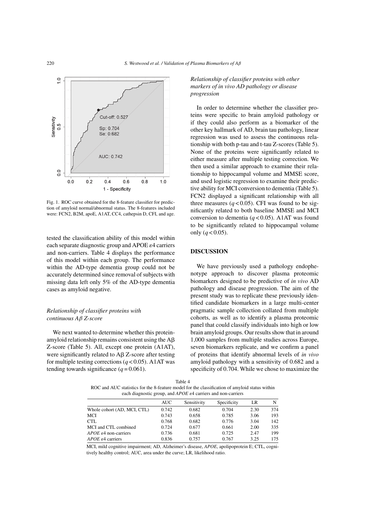

Fig. 1. ROC curve obtained for the 8-feature classifier for prediction of amyloid normal/abnormal status. The 8-features included were: FCN2, B2M, apoE, A1AT, CC4, cathepsin D, CFI, and age.

tested the classification ability of this model within each separate diagnostic group and APOE  $\varepsilon$ 4 carriers and non-carriers. Table 4 displays the performance of this model within each group. The performance within the AD-type dementia group could not be accurately determined since removal of subjects with missing data left only 5% of the AD-type dementia cases as amyloid negative.

# *Relationship of classifier proteins with continuous A*β *Z-score*

We next wanted to determine whether this proteinamyloid relationship remains consistent using the  $\overline{AB}$ Z-score (Table 5). All, except one protein (A1AT), were significantly related to  $\overrightarrow{AB}$  Z-score after testing for multiple testing corrections  $(q<0.05)$ . A1AT was tending towards significance  $(q = 0.061)$ .

*Relationship of classifier proteins with other markers of in vivo AD pathology or disease progression*

In order to determine whether the classifier proteins were specific to brain amyloid pathology or if they could also perform as a biomarker of the other key hallmark of AD, brain tau pathology, linear regression was used to assess the continuous relationship with both p-tau and t-tau Z-scores (Table 5). None of the proteins were significantly related to either measure after multiple testing correction. We then used a similar approach to examine their relationship to hippocampal volume and MMSE score, and used logistic regression to examine their predictive ability for MCI conversion to dementia (Table 5). FCN2 displayed a significant relationship with all three measures  $(q<0.05)$ . CFI was found to be significantly related to both baseline MMSE and MCI conversion to dementia  $(q<0.05)$ . A1AT was found to be significantly related to hippocampal volume only  $(a < 0.05)$ .

# **DISCUSSION**

We have previously used a pathology endophenotype approach to discover plasma proteomic biomarkers designed to be predictive of *in vivo* AD pathology and disease progression. The aim of the present study was to replicate these previously identified candidate biomarkers in a large multi-center pragmatic sample collection collated from multiple cohorts, as well as to identify a plasma proteomic panel that could classify individuals into high or low brain amyloid groups. Our results show that in around 1,000 samples from multiple studies across Europe, seven biomarkers replicate, and we confirm a panel of proteins that identify abnormal levels of *in vivo* amyloid pathology with a sensitivity of 0.682 and a specificity of 0.704. While we chose to maximize the

| Table 4                                                                                        |
|------------------------------------------------------------------------------------------------|
| ROC and AUC statistics for the 8-feature model for the classification of amyloid status within |
| each diagnostic group, and $APOE \varepsilon 4$ carriers and non-carriers                      |

|                                   | AUC   | Sensitivity | Specificity | LR   | N   |
|-----------------------------------|-------|-------------|-------------|------|-----|
| Whole cohort (AD, MCI, CTL)       | 0.742 | 0.682       | 0.704       | 2.30 | 374 |
| MCI                               | 0.743 | 0.658       | 0.785       | 3.06 | 193 |
| CTL                               | 0.768 | 0.682       | 0.776       | 3.04 | 142 |
| MCI and CTL combined              | 0.724 | 0.677       | 0.661       | 2.00 | 335 |
| $APOE \, \epsilon$ 4 non-carriers | 0.736 | 0.681       | 0.725       | 2.47 | 199 |
| APOE $\varepsilon$ 4 carriers     | 0.836 | 0.757       | 0.767       | 3.25 | 175 |

MCI, mild cognitive impairment; AD, Alzheimer's disease, *APOE*, apolipoprotein E; CTL, cognitively healthy control; AUC, area under the curve; LR, likelihood ratio.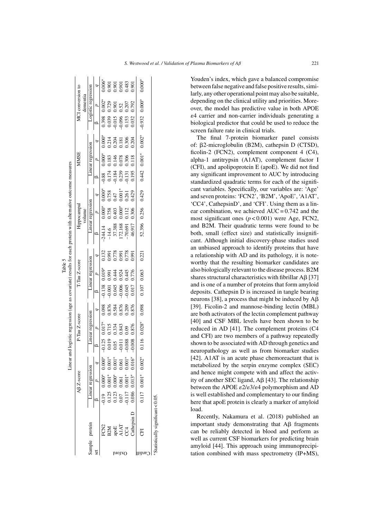| $0.000*$<br>$0.001*$<br>0.429<br>0.758<br>0.47<br>0.429<br>0.261<br>$\tilde{\phantom{a}}$<br>Linear regression<br>Hippocampal<br>$0.000^*$<br>$0.000*$<br>0.256<br>0.758<br>0.403<br>0.306<br>0.112<br>volume<br>52.396<br>$\frac{-14.6}{37.388}$<br>172.168<br>172.168<br>46.917<br>$-244.14$<br>∞<br>0.132<br>0.778<br>0.778<br>0.221<br>0.991<br>0.991<br>0.991<br>Linear regression<br>T-Tau Z-score<br>$0.019*$<br>0.063<br>0.776<br>0.445<br>0.991<br>0.444<br>0.924 | <b>MMSE</b><br>$0.001*$<br>$0.000*$<br>0.183<br>0.146<br>0.118<br>0.078<br>0.306<br>logistic regression (age as covariate) results for each protein with alternative outcome measures<br>0.442<br>$\begin{array}{c} 0.174 \\ -0.184 \\ 0.239 \end{array}$<br>$-0.88$<br>0.195<br>0.131<br>$\infty$ | $0.002*$<br>$0.000*$<br>0.214<br>0.306<br>0.204<br>181<br>$\tilde{q}$<br>Linear regression | Logistic regression<br>MCI conversion to<br>dementia<br>$0.000*$<br>$0.002*$<br>0.729<br>0.792<br>0.207<br>0.901<br>0.52<br>$\overline{a}$<br>$-0.932$<br>0.398<br>$0.039$<br>$-0.015$<br>$-0.096$<br>$0.153$<br>0.032<br>$\circ$ |
|----------------------------------------------------------------------------------------------------------------------------------------------------------------------------------------------------------------------------------------------------------------------------------------------------------------------------------------------------------------------------------------------------------------------------------------------------------------------------|----------------------------------------------------------------------------------------------------------------------------------------------------------------------------------------------------------------------------------------------------------------------------------------------------|--------------------------------------------------------------------------------------------|-----------------------------------------------------------------------------------------------------------------------------------------------------------------------------------------------------------------------------------|
|                                                                                                                                                                                                                                                                                                                                                                                                                                                                            |                                                                                                                                                                                                                                                                                                    |                                                                                            |                                                                                                                                                                                                                                   |
|                                                                                                                                                                                                                                                                                                                                                                                                                                                                            |                                                                                                                                                                                                                                                                                                    |                                                                                            |                                                                                                                                                                                                                                   |
|                                                                                                                                                                                                                                                                                                                                                                                                                                                                            |                                                                                                                                                                                                                                                                                                    |                                                                                            |                                                                                                                                                                                                                                   |

Table 5

Youden's index, which gave a balanced compromise between false negative and false positive results, similarly, any other operational point may also be suitable, depending on the clinical utility and priorities. Moreover, the model has predictive value in both APOE  $\varepsilon$ 4 carrier and non-carrier individuals generating a biological predictor that could be used to reduce the screen failure rate in clinical trials.

The final 7-protein biomarker panel consists of:  $\beta$ 2-microglobulin (B2M), cathepsin D (CTSD), ficolin-2 (FCN2), complement component 4 (C4), alpha-1 antitrypsin (A1AT), complement factor I (CFI), and apolipoprotein E (apoE). We did not find any significant improvement to AUC by introducing standardized quadratic terms for each of the significant variables. Specifically, our variables are: 'Age' and seven proteins: 'FCN2', 'B2M', 'ApoE', 'A1AT', 'CC4', CathepsinD', and 'CFI'. Using them as a linear combination, we achieved  $AUC = 0.742$  and the most significant ones (*p* < 0.001) were Age, FCN2, and B2M. Their quadratic terms were found to be both, small (effect size) and statistically insignificant. Although initial discovery-phase studies used an unbiased approach to identify proteins that have a relationship with AD and its pathology, it is noteworthy that the resulting biomarker candidates are also biologically relevant to the disease process. B2M shares structural characteristics with fibrillar  $\overline{AB}$  [37] and is one of a number of proteins that form amyloid deposits. Cathepsin D is increased in tangle bearing neurons [38], a process that might be induced by  $\overrightarrow{AB}$ [39]. Ficolin-2 and mannose-binding lectin (MBL) are both activators of the lectin complement pathway [40] and CSF MBL levels have been shown to be reduced in AD [41]. The complement proteins (C4 and CFI) are two members of a pathway repeatedly shown to be associated with AD through genetics and neuropathology as well as from biomarker studies [42]. A1AT is an acute phase chemoreactant that is metabolized by the serpin enzyme complex (SEC) and hence might compete with and affect the activity of another SEC ligand,  $\overline{AB}$  [43]. The relationship between the APOE  $\varepsilon$ 2/ $\varepsilon$ 3/ $\varepsilon$ 4 polymorphism and AD is well established and complementary to our finding here that apoE protein is clearly a marker of amyloid load.

Recently, Nakamura et al. (2018) published an important study demonstrating that AB fragments can be reliably detected in blood and perform as well as current CSF biomarkers for predicting brain amyloid [44]. This approach using immunoprecipitation combined with mass spectrometry (IP+MS),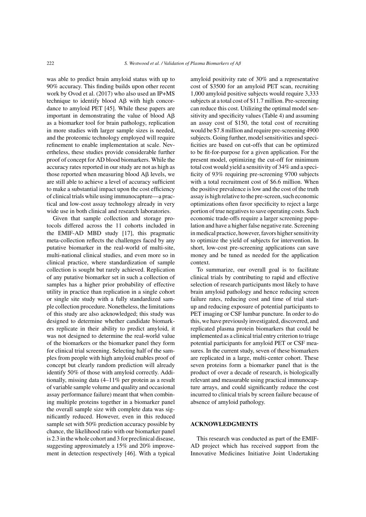was able to predict brain amyloid status with up to 90% accuracy. This finding builds upon other recent work by Ovod et al. (2017) who also used an IP+MS technique to identify blood  $\overrightarrow{AB}$  with high concordance to amyloid PET [45]. While these papers are important in demonstrating the value of blood  $\overrightarrow{AB}$ as a biomarker tool for brain pathology, replication in more studies with larger sample sizes is needed, and the proteomic technology employed will require refinement to enable implementation at scale. Nevertheless, these studies provide considerable further proof of concept for AD blood biomarkers. While the accuracy rates reported in our study are not as high as those reported when measuring blood  $\overrightarrow{AB}$  levels, we are still able to achieve a level of accuracy sufficient to make a substantial impact upon the cost efficiency of clinical trials while using immunocapture—a practical and low-cost assay technology already in very wide use in both clinical and research laboratories.

Given that sample collection and storage protocols differed across the 11 cohorts included in the EMIF-AD MBD study [17], this pragmatic meta-collection reflects the challenges faced by any putative biomarker in the real-world of multi-site, multi-national clinical studies, and even more so in clinical practice, where standardization of sample collection is sought but rarely achieved. Replication of any putative biomarker set in such a collection of samples has a higher prior probability of effective utility in practice than replication in a single cohort or single site study with a fully standardized sample collection procedure. Nonetheless, the limitations of this study are also acknowledged; this study was designed to determine whether candidate biomarkers replicate in their ability to predict amyloid, it was not designed to determine the real-world value of the biomarkers or the biomarker panel they form for clinical trial screening. Selecting half of the samples from people with high amyloid enables proof of concept but clearly random prediction will already identify 50% of those with amyloid correctly. Additionally, missing data (4–11% per protein as a result of variable sample volume and quality and occasional assay performance failure) meant that when combining multiple proteins together in a biomarker panel the overall sample size with complete data was significantly reduced. However, even in this reduced sample set with 50% prediction accuracy possible by chance, the likelihood ratio with our biomarker panel is 2.3 in the whole cohort and 3 for preclinical disease, suggesting approximately a 15% and 20% improvement in detection respectively [46]. With a typical amyloid positivity rate of 30% and a representative cost of \$3500 for an amyloid PET scan, recruiting 1,000 amyloid positive subjects would require 3,333 subjects at a total cost of \$11.7 million. Pre-screening can reduce this cost. Utilizing the optimal model sensitivity and specificity values (Table 4) and assuming an assay cost of \$150, the total cost of recruiting would be \$7.8 million and require pre-screening 4900 subjects. Going further, model sensitivities and specificities are based on cut-offs that can be optimized to be fit-for-purpose for a given application. For the present model, optimizing the cut-off for minimum total cost would yield a sensitivity of 34% and a specificity of 93% requiring pre-screening 9700 subjects with a total recruitment cost of \$6.6 million. When the positive prevalence is low and the cost of the truth assay is high relative to the pre-screen, such economic optimizations often favor specificity to reject a large portion of true negatives to save operating costs. Such economic trade-offs require a larger screening population and have a higher false negative rate. Screening in medical practice, however, favors higher sensitivity to optimize the yield of subjects for intervention. In short, low-cost pre-screening applications can save money and be tuned as needed for the application context.

To summarize, our overall goal is to facilitate clinical trials by contributing to rapid and effective selection of research participants most likely to have brain amyloid pathology and hence reducing screen failure rates, reducing cost and time of trial startup and reducing exposure of potential participants to PET imaging or CSF lumbar puncture. In order to do this, we have previously investigated, discovered, and replicated plasma protein biomarkers that could be implemented as a clinical trial entry criterion to triage potential participants for amyloid PET or CSF measures. In the current study, seven of these biomarkers are replicated in a large, multi-center cohort. These seven proteins form a biomarker panel that is the product of over a decade of research, is biologically relevant and measurable using practical immunocapture arrays, and could significantly reduce the cost incurred to clinical trials by screen failure because of absence of amyloid pathology.

### **ACKNOWLEDGMENTS**

This research was conducted as part of the EMIF-AD project which has received support from the Innovative Medicines Initiative Joint Undertaking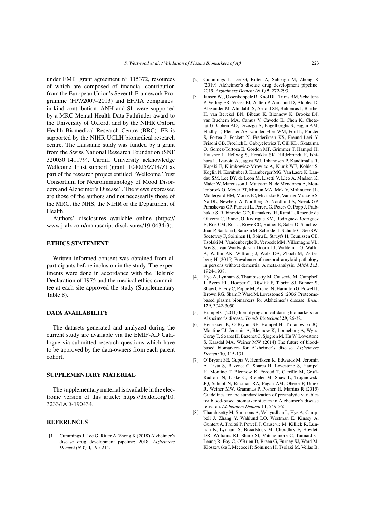under EMIF grant agreement n◦ [115372,](https://www.j-alz.com/manuscript-disclosures/19-0434r3) [resources](https://www.j-alz.com/manuscript-disclosures/19-0434r3) of which are composed of financial contribution from the European Union's Seventh Framework Programme (FP7/2007–2013) and EFPIA companies' in-kind contribution. ANH and SL were supported by a MRC Mental Health Data Pathfinder award to the University of Oxford, and by the NIHR Oxford Health Biomedical Research Centre (BRC). FB is supported by the NIHR UCLH biomedical research centre. The Lausanne study was funded by a grant from the Swiss National Research Foundation (SNF 320030 141179). Cardiff University acknowledge Wellcome Trust support (grant: 104025/Z/14/Z) as part of the research project entitled "Wellcome Trust Consortium for Neuroimmunology of Mood Disorders and Alzheimer's Disease". The views expressed are those of the authors and not necessarily those of the MRC, the NHS, the NIHR or the Department of Health.

Authors' disclosures available online (https:// www.j-alz.com/manuscript-disclosures/19-0434r3).

## **ETHICS STATEMENT**

Written informed consent w[as](https://dx.doi.org/10.3233/JAD-190434) [obtained](https://dx.doi.org/10.3233/JAD-190434) [from](https://dx.doi.org/10.3233/JAD-190434) [a](https://dx.doi.org/10.3233/JAD-190434)ll participants before inclusion in the study. The experiments were done in accordance with the Helsinki Declaration of 1975 and the medical ethics committee at each site approved the study (Supplementary Table 8).

## **DATA AVAILABILITY**

The datasets generated and analyzed during the current study are available via the EMIF-AD Catalogue via submitted research questions which have to be approved by the data-owners from each parent cohort.

## **SUPPLEMENTARY MATERIAL**

The supplementary material is available in the electronic version of this article: https://dx.doi.org/10. 3233/JAD-190434.

## **REFERENCES**

[1] Cummings J, Lee G, Ritter A, Zhong K (2018) Alzheimer's disease drug development pipeline: 2018. *Alzheimers Dement (N Y)* **4**, 195-214.

- [2] Cummings J, Lee G, Ritter A, Sabbagh M, Zhong K (2019) Alzheimer's disease drug development pipeline: 2019. *Alzheimers Dement (N Y)* **5**, 272-293.
- [3] JansenWJ, Ossenkoppele R, Knol DL, Tijms BM, Scheltens P, Verhey FR, Visser PJ, Aalten P, Aarsland D, Alcolea D, Alexander M, Almdahl IS, Arnold SE, Baldeiras I, Barthel H, van Berckel BN, Bibeau K, Blennow K, Brooks DJ, van Buchem MA, Camus V, Cavedo E, Chen K, Chetelat G, Cohen AD, Drzezga A, Engelborghs S, Fagan AM, Fladby T, Fleisher AS, van der Flier WM, Ford L, Forster S, Fortea J, Foskett N, Frederiksen KS, Freund-Levi Y, Frisoni GB, Froelich L, Gabryelewicz T, Gill KD, Gkatzima O, Gomez-Tortosa E, Gordon MF, Grimmer T, Hampel H, Hausner L, Hellwig S, Herukka SK, Hildebrandt H, Ishihara L, Ivanoiu A, Jagust WJ, Johannsen P, Kandimalla R, Kapaki E, Klimkowicz-Mrowiec A, Klunk WE, Kohler S, Koglin N, Kornhuber J, Kramberger MG, Van Laere K, Landau SM, Lee DY, de Leon M, Lisetti V, Lleo A, Madsen K, Maier W, Marcusson J, Mattsson N, de Mendonca A, Meulenbroek O, Meyer PT, Mintun MA, Mok V, Molinuevo JL, Mollergard HM, Morris JC, Mroczko B, Van der Mussele S, Na DL, Newberg A, Nordberg A, Nordlund A, Novak GP, Paraskevas GP, Parnetti L, Perera G, Peters O, Popp J, Prabhakar S, Rabinovici GD, Ramakers IH, Rami L, Resende de Oliveira C, Rinne JO, Rodrigue KM, Rodriguez-Rodriguez E, Roe CM, Rot U, Rowe CC, Ruther E, Sabri O, Sanchez-Juan P, Santana I, Sarazin M, Schroder J, Schutte C, Seo SW, Soetewey F, Soininen H, Spiru L, Struyfs H, Teunissen CE, Tsolaki M, Vandenberghe R, Verbeek MM, Villemagne VL, [Vos](https://dx.doi.org/10.3233/JAD-190434) [SJ,](https://dx.doi.org/10.3233/JAD-190434) [van](https://dx.doi.org/10.3233/JAD-190434) [Waalwijk](https://dx.doi.org/10.3233/JAD-190434) [va](https://dx.doi.org/10.3233/JAD-190434)n Doorn LJ, Waldemar G, Wallin A, Wallin AK, Wiltfang J, Wolk DA, Zboch M, Zetterberg H (2015) Prevalence of cerebral amyloid pathology in persons without dementia: A meta-analysis. *JAMA* **313**, 1924-1938.
- [4] Hye A, Lynham S, Thambisetty M, Causevic M, Campbell J, Byers HL, Hooper C, Rijsdijk F, Tabrizi SJ, Banner S, Shaw CE, Foy C, Poppe M, Archer N, Hamilton G, Powell J, Brown RG, Sham P, Ward M, Lovestone S (2006) Proteomebased plasma biomarkers for Alzheimer's disease. *Brain* **129**, 3042-3050.
- [5] Humpel C (2011) Identifying and validating biomarkers for Alzheimer's disease. *Trends Biotechnol* **29**, 26-32.
- [6] Henriksen K, O'Bryant SE, Hampel H, Trojanowski JQ, Montine TJ, Jeromin A, Blennow K, Lonneborg A, Wyss-Coray T, Soares H, Bazenet C, Sjogren M, Hu W, Lovestone S, Karsdal MA, Weiner MW (2014) The future of bloodbased biomarkers for Alzheimer's disease. *Alzheimers Dement* **10**, 115-131.
- [7] O'Bryant SE, Gupta V, Henriksen K, Edwards M, Jeromin A, Lista S, Bazenet C, Soares H, Lovestone S, Hampel H, Montine T, Blennow K, Foroud T, Carrillo M, Graff-Radford N, Laske C, Breteler M, Shaw L, Trojanowski JQ, Schupf N, Rissman RA, Fagan AM, Oberoi P, Umek R, Weiner MW, Grammas P, Posner H, Martins R (2015) Guidelines for the standardization of preanalytic variables for blood-based biomarker studies in Alzheimer's disease research. *Alzheimers Dement* **11**, 549-560.
- [8] Thambisetty M, Simmons A, Velayudhan L, Hye A, Campbell J, Zhang Y, Wahlund LO, Westman E, Kinsey A, Guntert A, Proitsi P, Powell J, Causevic M, Killick R, Lunnon K, Lynham S, Broadstock M, Choudhry F, Howlett DR, Williams RJ, Sharp SI, Mitchelmore C, Tunnard C, Leung R, Foy C, O'Brien D, Breen G, Furney SJ, Ward M, Kloszewska I, Mecocci P, Soininen H, Tsolaki M, Vellas B,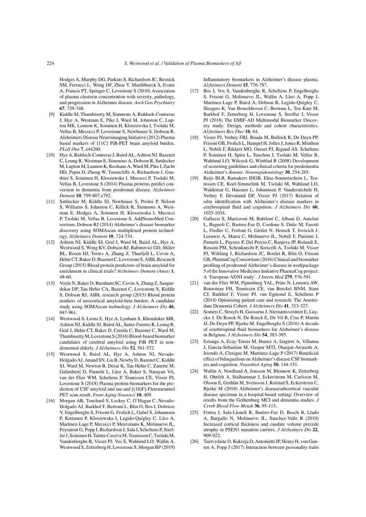Hodges A, Murphy DG, Parkins S, Richardson JC, Resnick SM, Ferrucci L, Wong DF, Zhou Y, Muehlboeck S, Evans A, Francis PT, Spenger C, Lovestone S (2010) Association of plasma clusterin concentration with severity, pathology, and progression in Alzheimer disease. *Arch Gen Psychiatry* **67**, 739-748.

- [9] Kiddle SJ, Thambisetty M, Simmons A, Riddoch-Contreras J, Hye A, Westman E, Pike I, Ward M, Johnston C, Lupton MK, Lunnon K, Soininen H, Kloszewska I, Tsolaki M, Vellas B, Mecocci P, Lovestone S, Newhouse S, Dobson R, Alzheimers Disease Neuroimaging Initiative (2012) Plasma based markers of [11C] PiB-PET brain amyloid burden. *PLoS One* **7**, e44260.
- [10] Hye A, Riddoch-Contreras J, Baird AL, Ashton NJ, Bazenet C, Leung R, Westman E, Simmons A, Dobson R, Sattlecker M, Lupton M, Lunnon K, Keohane A, Ward M, Pike I, Zucht HD, Pepin D, Zheng W, Tunnicliffe A, Richardson J, Gauthier S, Soininen H, Kloszewska I, Mecocci P, Tsolaki M, Vellas B, Lovestone S (2014) Plasma proteins predict conversion to dementia from prodromal disease. *Alzheimers Dement* **10**, 799-807.e792.
- [11] Sattlecker M, Kiddle SJ, Newhouse S, Proitsi P, Nelson S, Williams S, Johnston C, Killick R, Simmons A, Westman E, Hodges A, Soininen H, Kloszewska I, Mecocci P, Tsolaki M, Vellas B, Lovestone S, AddNeuroMed Consortium, Dobson RJ (2014) Alzheimer's disease biomarker discovery using SOMAscan multiplexed protein technology. *Alzheimers Dement* **10**, 724-734.
- [12] Ashton NJ, Kiddle SJ, Graf J, Ward M, Baird AL, Hye A, Westwood S, Wong KV, Dobson RJ, Rabinovici GD, Miller BL, Rosen HJ, Torres A, Zhang Z, Thurfjell L, Covin A, Hehir CT, Baker D, Bazenet C, Lovestone S, AIBL Research Group (2015) Blood protein predictors of brain amyloid for enrichment in clinical trials? *Alzheimers Dement (Amst)* **1**, 48-60.
- [13] Voyle N, Baker D, Burnham SC, Covin A, Zhang Z, Sangurdekar DP, Tan Hehir CA, Bazenet C, Lovestone S, Kiddle S, Dobson RJ, AIBL research group (2015) Blood protein markers of neocortical amyloid-beta burden: A candidate study using SOMAscan technology. *J Alzheimers Dis* **46**, 947-961.
- [14] Westwood S, Leoni E, Hye A, Lynham S, Khondoker MR, Ashton NJ, Kiddle SJ, Baird AL, Sainz-Fuertes R, Leung R, Graf J, Hehir CT, Baker D, Cereda C, Bazenet C, Ward M, ThambisettyM, Lovestone S (2016) Blood-based biomarker candidates of cerebral amyloid using PiB PET in nondemented elderly. *J Alzheimers Dis* **52**, 561-572.
- [15] Westwood S, Baird AL, Hye A, Ashton NJ, Nevado-Holgado AJ, Anand SN, Liu B, Newby D, Bazenet C, Kiddle SJ, Ward M, Newton B, Desai K, Tan Hehir C, Zanette M, Galimberti D, Parnetti L, Lleo A, Baker S, Narayan VA, van der Flier WM, Scheltens P, Teunissen CE, Visser PJ, Lovestone S (2018) Plasma protein biomarkers for the prediction of CSF amyloid and tau and [(18)F]-Flutemetamol PET scan result. *Front Aging Neurosci* **10**, 409.
- [16] Morgan AR, Touchard S, Leckey C, O'Hagan C, Nevado-Holgado AJ, Barkhof F, Bertram L, Blin O, Bos I, Dobricic V, Engelborghs S, Frisoni G, Frolich L, Gabel S, Johannsen P, Kettunen P, Kloszewska I, Legido-Quigley C, Lleo A, Martinez-Lage P, Mecocci P, Meersmans K, Molinuevo JL, Peyratout G, Popp J, Richardson J, Sala I, Scheltens P, Streffer J, Soininen H, Tainta-CuezvaM, Teunissen C, TsolakiM, Vandenberghe R, Visser PJ, Vos S, Wahlund LO, Wallin A, Westwood S, Zetterberg H, Lovestone S, Morgan BP (2019)

Inflammatory biomarkers in Alzheimer's disease plasma. *Alzheimers Dement* **15**, 776-787.

- [17] Bos I, Vos S, Vandenberghe R, Scheltens P, Engelborghs S, Frisoni G, Molinuevo JL, Wallin A, Lleo A, Popp J, Martinez-Lage P, Baird A, Dobson R, Legido-Quigley C, Sleegers K, Van Broeckhoven C, Bertram L, Ten Kate M, Barkhof F, Zetterberg H, Lovestone S, Streffer J, Visser PJ (2018) The EMIF-AD Multimodal Biomarker Discovery study: Design, methods and cohort characteristics. *Alzheimers Res Ther* **10**, 64.
- [18] Visser PJ, Verhey FRJ, Boada M, Bullock R, De Deyn PP, Frisoni GB, Frolich L, Hampel H, Jolles J, Jones R, Minthon L, Nobili F, Rikkert MO, Ousset PJ, Rigaud AS, Scheltens P, Soininen H, Spiru L, Touchon J, Tsolaki M, Vellas B, Wahlund LO, Wilcock G, Winblad B (2008) Development of screening guidelines and clinical criteria for predementia Alzheimer's disease. *Neuroepidemiology* **30**, 254-265.
- [19] Reijs BLR, Ramakers IHGB, Elias-Sonnenschein L, Teunissen CE, Koel-Simmelink M, Tsolaki M, Wahlund LO, Waldemar G, Hausner L, Johannsen P, Vanderstichele H, Verhey F, Devanand DP, Visser PJ (2017) Relation of odor identification with Alzheimer's disease markers in cerebrospinal fluid and cognition. *J Alzheimers Dis* **60**, 1025-1034.
- [20] Galluzzi S, Marizzoni M, Babiloni C, Albani D, Antelmi L, Bagnoli C, Bartres-Faz D, Cordone S, Didic M, Farotti L, Fiedler U, Forloni G, Girtler N, Hensch T, Jovicich J, Leeuwis A, Marra C, Molinuevo JL, Nobili F, Pariente J, Parnetti L, Payoux P, Del Percio C, Ranjeva JP, Rolandi E, Rossini PM, Schonknecht P, Soricelli A, Tsolaki M, Visser PJ, Wiltfang J, Richardson JC, Bordet R, Blin O, Frisoni GB, PharmaCog Consortium (2016) Clinical and biomarker profiling of prodromal Alzheimer's disease in workpackage 5 of the Innovative Medicines Initiative PharmaCog project: A 'European ADNI study'. *J Intern Med* **279**, 576-591.
- [21] van der Flier WM, Pijnenburg YAL, Prins N, Lemstra AW, Bouwman FH, Teunissen CE, van Berckel BNM, Stam CJ, Barkhof F, Visser PJ, van Egmond E, Scheltens P (2014) Optimizing patient care and research: The Amsterdam Dementia Cohort. *J Alzheimers Dis* **41**, 313-327.
- [22] Somers C, Struyfs H, Goossens J, Niemantsverdriet E, Luyckx J, De Roeck N, De Roeck E, De Vil B, Cras P, Martin JJ, De Deyn PP, Bjerke M, Engelborghs S (2016) A decade of cerebrospinal fluid biomarkers for Alzheimer's disease in Belgium. *J Alzheimers Dis* **54**, 383-395.
- [23] Estanga A, Ecay-Torres M, Ibanez A, Izagirre A, Villanua J, Garcia-Sebastian M, Gaspar MTI, Otaegui-Arrazola A, Iriondo A, Clerigue M, Martinez-Lage P (2017) Beneficial effect of bilingualism on Alzheimer's disease CSF biomarkers and cognition. *Neurobiol Aging* **50**, 144-151.
- [24] Wallin A, Nordlund A, Jonsson M, Blennow K, Zetterberg H, Ohrfelt A, Stalhammar J, Eckerstrom M, Carlsson M, Olsson E, Gothlin M, Svensson J, Rolstad S, Eckerstrom C, Bjerke M (2016) Alzheimer's diseasesubcortical vascular disease spectrum in a hospital-based setting: Overview of results from the Gothenburg MCI and dementia studies. *J Cereb Blood Flow Metab* **36**, 95-113.
- [25] Fortea J, Sala-Llonch R, Bartres-Faz D, Bosch B, Llado A, Bargallo N, Molinuevo JL, Sanchez-Valle R (2010) Increased cortical thickness and caudate volume precede atrophy in PSEN1 mutation carriers. *J Alzheimers Dis* **22**, 909-922.
- [26] Tautvydaite D, Kukreja D, Antonietti JP, Henry H, von Gunten A, Popp J (2017) Interaction between personality traits